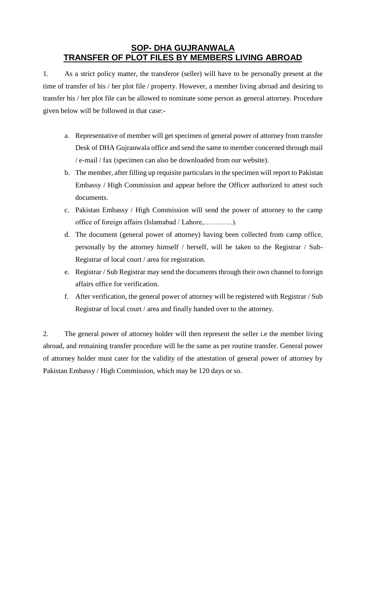## **SOP- DHA GUJRANWALA TRANSFER OF PLOT FILES BY MEMBERS LIVING ABROAD**

1. As a strict policy matter, the transferor (seller) will have to be personally present at the time of transfer of his / her plot file / property. However, a member living abroad and desiring to transfer his / her plot file can be allowed to nominate some person as general attorney. Procedure given below will be followed in that case:-

- a. Representative of member will get specimen of general power of attorney from transfer Desk of DHA Gujranwala office and send the same to member concerned through mail / e-mail / fax (specimen can also be downloaded from our website).
- b. The member, after filling up requisite particulars in the specimen will report to Pakistan Embassy / High Commission and appear before the Officer authorized to attest such documents.
- c. Pakistan Embassy / High Commission will send the power of attorney to the camp office of foreign affairs (Islamabad / Lahore,…………).
- d. The document (general power of attorney) having been collected from camp office, personally by the attorney himself / herself, will be taken to the Registrar / Sub-Registrar of local court / area for registration.
- e. Registrar / Sub Registrar may send the documents through their own channel to foreign affairs office for verification.
- f. After verification, the general power of attorney will be registered with Registrar / Sub Registrar of local court / area and finally handed over to the attorney.

2. The general power of attorney holder will then represent the seller i.e the member living abroad, and remaining transfer procedure will be the same as per routine transfer. General power of attorney holder must cater for the validity of the attestation of general power of attorney by Pakistan Embassy / High Commission, which may be 120 days or so.